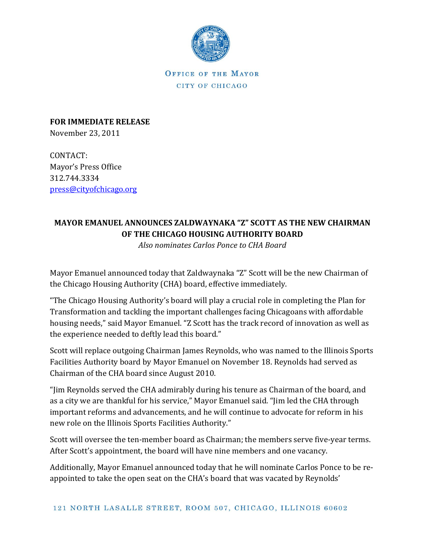

OFFICE OF THE MAYOR CITY OF CHICAGO

**FOR IMMEDIATE RELEASE** November 23, 2011

CONTACT: Mayor's Press Office 312.744.3334 [press@cityofchicago.org](mailto:press@cityofchicago.org)

## **MAYOR EMANUEL ANNOUNCES ZALDWAYNAKA "Z" SCOTT AS THE NEW CHAIRMAN OF THE CHICAGO HOUSING AUTHORITY BOARD**

*Also nominates Carlos Ponce to CHA Board*

Mayor Emanuel announced today that Zaldwaynaka "Z" Scott will be the new Chairman of the Chicago Housing Authority (CHA) board, effective immediately.

"The Chicago Housing Authority's board will play a crucial role in completing the Plan for Transformation and tackling the important challenges facing Chicagoans with affordable housing needs," said Mayor Emanuel. "Z Scott has the track record of innovation as well as the experience needed to deftly lead this board."

Scott will replace outgoing Chairman James Reynolds, who was named to the Illinois Sports Facilities Authority board by Mayor Emanuel on November 18. Reynolds had served as Chairman of the CHA board since August 2010.

"Jim Reynolds served the CHA admirably during his tenure as Chairman of the board, and as a city we are thankful for his service," Mayor Emanuel said. "Jim led the CHA through important reforms and advancements, and he will continue to advocate for reform in his new role on the Illinois Sports Facilities Authority."

Scott will oversee the ten-member board as Chairman; the members serve five-year terms. After Scott's appointment, the board will have nine members and one vacancy.

Additionally, Mayor Emanuel announced today that he will nominate Carlos Ponce to be reappointed to take the open seat on the CHA's board that was vacated by Reynolds'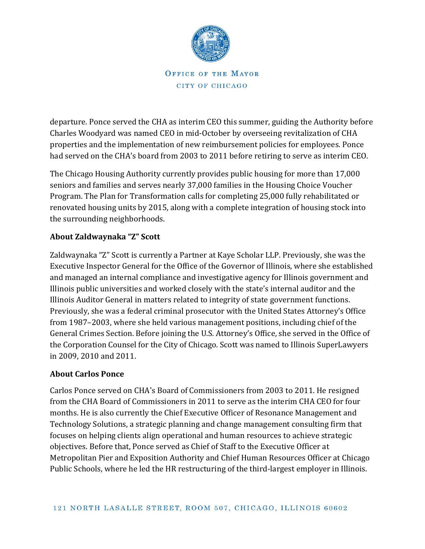

OFFICE OF THE MAYOR CITY OF CHICAGO

departure. Ponce served the CHA as interim CEO this summer, guiding the Authority before Charles Woodyard was named CEO in mid-October by overseeing revitalization of CHA properties and the implementation of new reimbursement policies for employees. Ponce had served on the CHA's board from 2003 to 2011 before retiring to serve as interim CEO.

The Chicago Housing Authority currently provides public housing for more than 17,000 seniors and families and serves nearly 37,000 families in the Housing Choice Voucher Program. The Plan for Transformation calls for completing 25,000 fully rehabilitated or renovated housing units by 2015, along with a complete integration of housing stock into the surrounding neighborhoods.

## **About Zaldwaynaka "Z" Scott**

Zaldwaynaka "Z" Scott is currently a Partner at Kaye Scholar LLP. Previously, she was the Executive Inspector General for the Office of the Governor of Illinois, where she established and managed an internal compliance and investigative agency for Illinois government and Illinois public universities and worked closely with the state's internal auditor and the Illinois Auditor General in matters related to integrity of state government functions. Previously, she was a federal criminal prosecutor with the United States Attorney's Office from 1987–2003, where she held various management positions, including chief of the General Crimes Section. Before joining the U.S. Attorney's Office, she served in the Office of the Corporation Counsel for the City of Chicago. Scott was named to Illinois SuperLawyers in 2009, 2010 and 2011.

## **About Carlos Ponce**

Carlos Ponce served on CHA's Board of Commissioners from 2003 to 2011. He resigned from the CHA Board of Commissioners in 2011 to serve as the interim CHA CEO for four months. He is also currently the Chief Executive Officer of Resonance Management and Technology Solutions, a strategic planning and change management consulting firm that focuses on helping clients align operational and human resources to achieve strategic objectives. Before that, Ponce served as Chief of Staff to the Executive Officer at Metropolitan Pier and Exposition Authority and Chief Human Resources Officer at Chicago Public Schools, where he led the HR restructuring of the third-largest employer in Illinois.